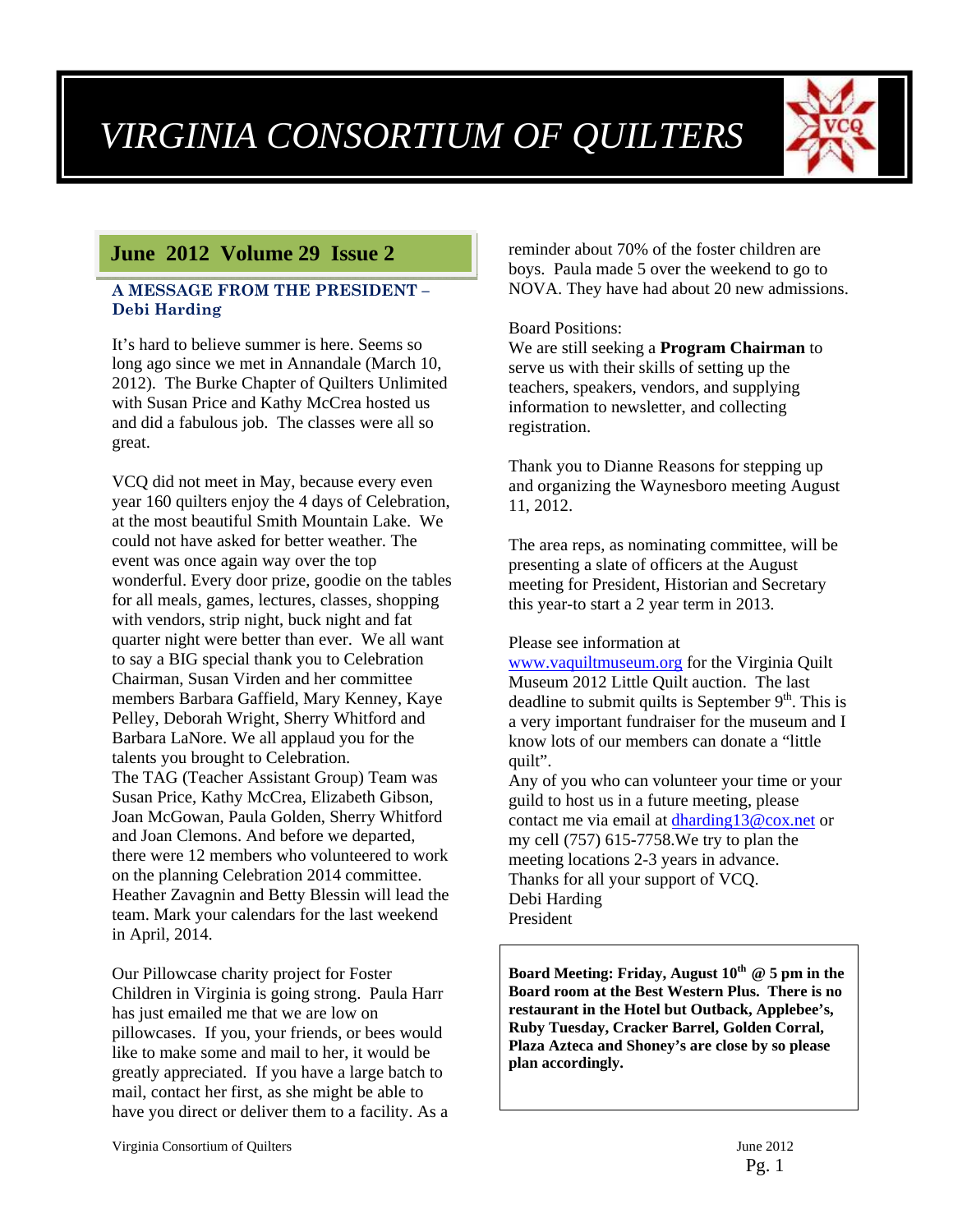# *VIRGINIA CONSORTIUM OF QUILTERS*



#### **June 2012 Volume 29 Issue 2**

#### **A MESSAGE FROM THE PRESIDENT – Debi Harding**

It's hard to believe summer is here. Seems so long ago since we met in Annandale (March 10, 2012). The Burke Chapter of Quilters Unlimited with Susan Price and Kathy McCrea hosted us and did a fabulous job. The classes were all so great.

VCQ did not meet in May, because every even year 160 quilters enjoy the 4 days of Celebration, at the most beautiful Smith Mountain Lake. We could not have asked for better weather. The event was once again way over the top wonderful. Every door prize, goodie on the tables for all meals, games, lectures, classes, shopping with vendors, strip night, buck night and fat quarter night were better than ever. We all want to say a BIG special thank you to Celebration Chairman, Susan Virden and her committee members Barbara Gaffield, Mary Kenney, Kaye Pelley, Deborah Wright, Sherry Whitford and Barbara LaNore. We all applaud you for the talents you brought to Celebration. The TAG (Teacher Assistant Group) Team was Susan Price, Kathy McCrea, Elizabeth Gibson, Joan McGowan, Paula Golden, Sherry Whitford and Joan Clemons. And before we departed, there were 12 members who volunteered to work on the planning Celebration 2014 committee. Heather Zavagnin and Betty Blessin will lead the team. Mark your calendars for the last weekend in April, 2014.

Our Pillowcase charity project for Foster Children in Virginia is going strong. Paula Harr has just emailed me that we are low on pillowcases. If you, your friends, or bees would like to make some and mail to her, it would be greatly appreciated. If you have a large batch to mail, contact her first, as she might be able to have you direct or deliver them to a facility. As a reminder about 70% of the foster children are boys. Paula made 5 over the weekend to go to NOVA. They have had about 20 new admissions.

#### Board Positions:

We are still seeking a **Program Chairman** to serve us with their skills of setting up the teachers, speakers, vendors, and supplying information to newsletter, and collecting registration.

Thank you to Dianne Reasons for stepping up and organizing the Waynesboro meeting August 11, 2012.

The area reps, as nominating committee, will be presenting a slate of officers at the August meeting for President, Historian and Secretary this year-to start a 2 year term in 2013.

#### Please see information at

www.vaquiltmuseum.org for the Virginia Quilt Museum 2012 Little Quilt auction. The last deadline to submit quilts is September  $9<sup>th</sup>$ . This is a very important fundraiser for the museum and I know lots of our members can donate a "little quilt".

Any of you who can volunteer your time or your guild to host us in a future meeting, please contact me via email at dharding13@cox.net or my cell (757) 615-7758.We try to plan the meeting locations 2-3 years in advance. Thanks for all your support of VCQ. Debi Harding President

Board Meeting: Friday, August 10<sup>th</sup> @ 5 pm in the **Board room at the Best Western Plus. There is no restaurant in the Hotel but Outback, Applebee's, Ruby Tuesday, Cracker Barrel, Golden Corral, Plaza Azteca and Shoney's are close by so please plan accordingly.**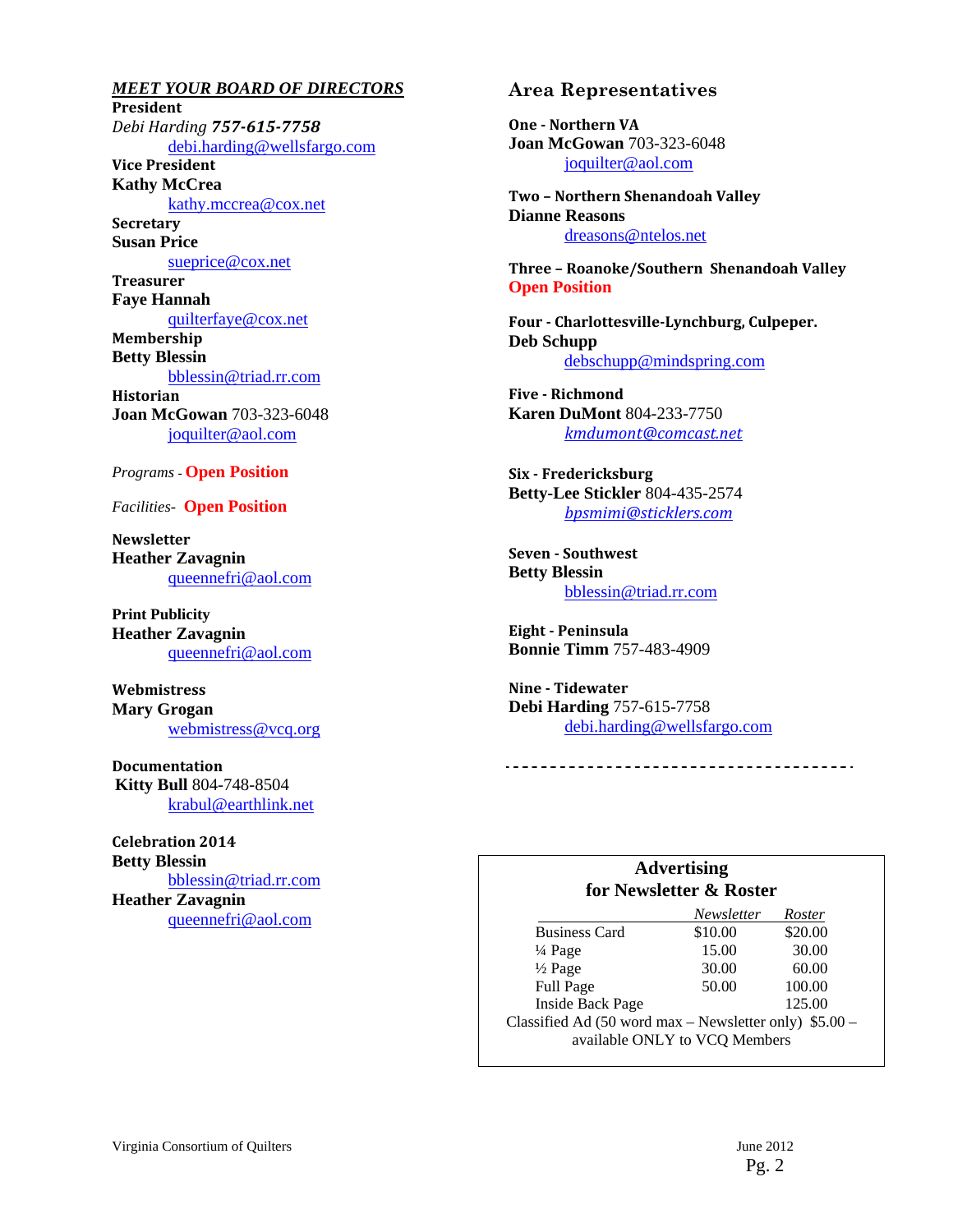*MEET YOUR BOARD OF DIRECTORS* **President** *Debi Harding 757‐615‐7758* debi.harding@wellsfargo.com **Vice President Kathy McCrea**  kathy.mccrea@cox.net **Secretary Susan Price**  sueprice@cox.net **Treasurer Faye Hannah**  quilterfaye@cox.net **Membership Betty Blessin**  bblessin@triad.rr.com **Historian Joan McGowan** 703-323-6048 joquilter@aol.com

#### *Programs -* **Open Position**

*Facilities-* **Open Position** 

**Newsletter Heather Zavagnin**  queennefri@aol.com

**Print Publicity Heather Zavagnin**  queennefri@aol.com

**Webmistress Mary Grogan**  webmistress@vcq.org

**Documentation Kitty Bull** 804-748-8504 krabul@earthlink.net

**Celebration 2014 Betty Blessin**  bblessin@triad.rr.com **Heather Zavagnin**  queennefri@aol.com

#### **Area Representatives**

**One** - Northern VA **Joan McGowan** 703-323-6048 joquilter@aol.com

**Two – Northern Shenandoah Valley Dianne Reasons** dreasons@ntelos.net

**Three – Roanoke/Southern Shenandoah Valley Open Position** 

**Four ‐ Charlottesville‐Lynchburg, Culpeper. Deb Schupp** debschupp@mindspring.com

**Five** - Richmond **Karen DuMont** 804-233-7750 *kmdumont@comcast.net*

**Six ‐ Fredericksburg Betty-Lee Stickler** 804-435-2574 *bpsmimi@sticklers.com*

**Seven ‐ Southwest Betty Blessin**  bblessin@triad.rr.com

**Eight ‐ Peninsula Bonnie Timm** 757-483-4909

**Nine** - Tidewater **Debi Harding** 757-615-7758 debi.harding@wellsfargo.com

#### **Advertising for Newsletter & Roster**

|                                                        | Newsletter | Roster  |  |
|--------------------------------------------------------|------------|---------|--|
| <b>Business Card</b>                                   | \$10.00    | \$20.00 |  |
| $\frac{1}{4}$ Page                                     | 15.00      | 30.00   |  |
| $\frac{1}{2}$ Page                                     | 30.00      | 60.00   |  |
| Full Page                                              | 50.00      | 100.00  |  |
| <b>Inside Back Page</b>                                |            | 125.00  |  |
| Classified Ad (50 word max – Newsletter only) \$5.00 – |            |         |  |
| available ONLY to VCQ Members                          |            |         |  |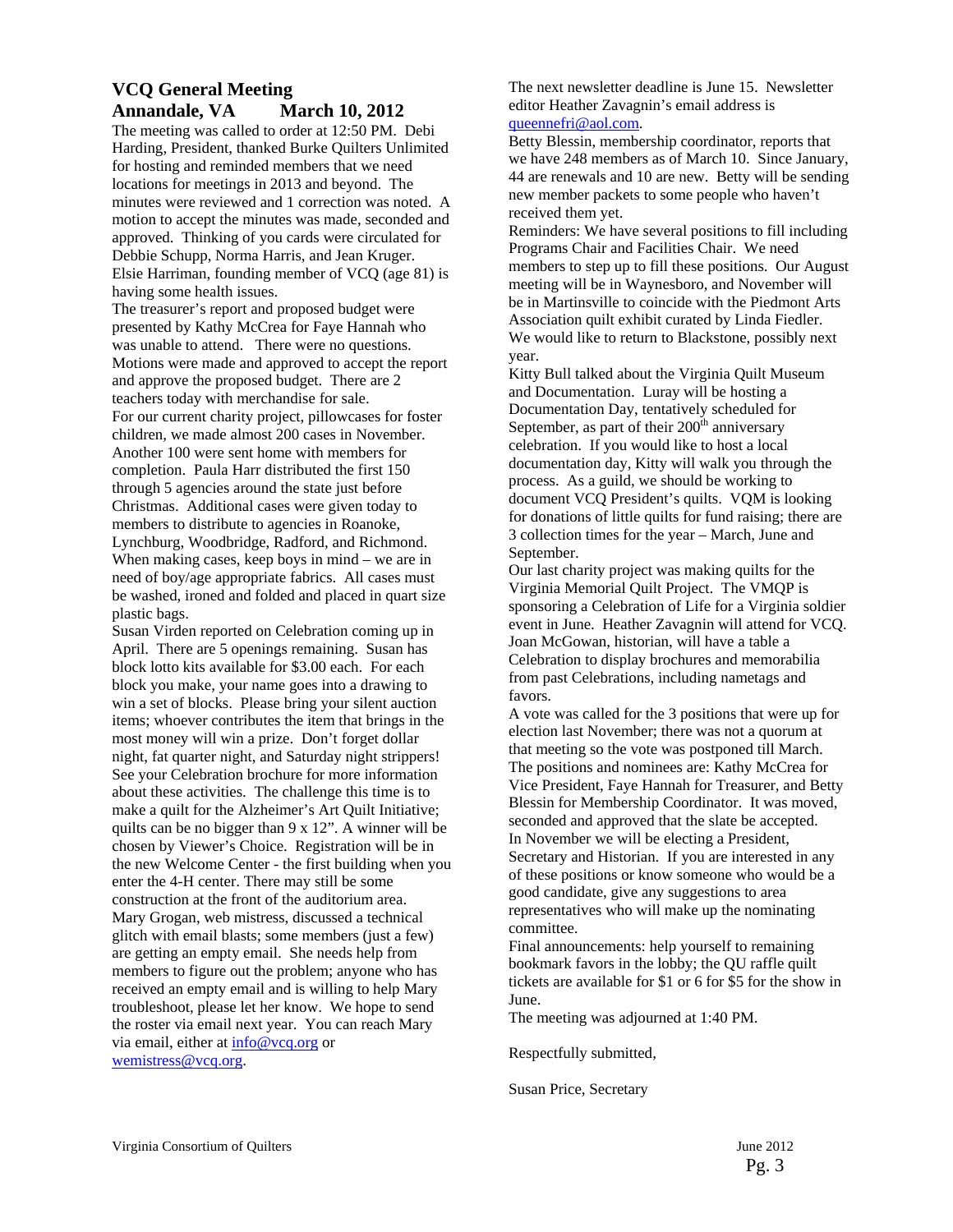#### **VCQ General Meeting Annandale, VA March 10, 2012**

The meeting was called to order at 12:50 PM. Debi Harding, President, thanked Burke Quilters Unlimited for hosting and reminded members that we need locations for meetings in 2013 and beyond. The minutes were reviewed and 1 correction was noted. A motion to accept the minutes was made, seconded and approved. Thinking of you cards were circulated for Debbie Schupp, Norma Harris, and Jean Kruger. Elsie Harriman, founding member of VCQ (age 81) is having some health issues.

The treasurer's report and proposed budget were presented by Kathy McCrea for Faye Hannah who was unable to attend. There were no questions. Motions were made and approved to accept the report and approve the proposed budget. There are 2 teachers today with merchandise for sale. For our current charity project, pillowcases for foster children, we made almost 200 cases in November. Another 100 were sent home with members for completion. Paula Harr distributed the first 150 through 5 agencies around the state just before Christmas. Additional cases were given today to members to distribute to agencies in Roanoke, Lynchburg, Woodbridge, Radford, and Richmond. When making cases, keep boys in mind – we are in need of boy/age appropriate fabrics. All cases must be washed, ironed and folded and placed in quart size plastic bags.

Susan Virden reported on Celebration coming up in April. There are 5 openings remaining. Susan has block lotto kits available for \$3.00 each. For each block you make, your name goes into a drawing to win a set of blocks. Please bring your silent auction items; whoever contributes the item that brings in the most money will win a prize. Don't forget dollar night, fat quarter night, and Saturday night strippers! See your Celebration brochure for more information about these activities. The challenge this time is to make a quilt for the Alzheimer's Art Quilt Initiative; quilts can be no bigger than 9 x 12". A winner will be chosen by Viewer's Choice. Registration will be in the new Welcome Center - the first building when you enter the 4-H center. There may still be some construction at the front of the auditorium area. Mary Grogan, web mistress, discussed a technical glitch with email blasts; some members (just a few) are getting an empty email. She needs help from members to figure out the problem; anyone who has received an empty email and is willing to help Mary troubleshoot, please let her know. We hope to send the roster via email next year. You can reach Mary via email, either at info@vcq.org or wemistress@vcq.org.

The next newsletter deadline is June 15. Newsletter editor Heather Zavagnin's email address is queennefri@aol.com.

Betty Blessin, membership coordinator, reports that we have 248 members as of March 10. Since January, 44 are renewals and 10 are new. Betty will be sending new member packets to some people who haven't received them yet.

Reminders: We have several positions to fill including Programs Chair and Facilities Chair. We need members to step up to fill these positions. Our August meeting will be in Waynesboro, and November will be in Martinsville to coincide with the Piedmont Arts Association quilt exhibit curated by Linda Fiedler. We would like to return to Blackstone, possibly next year.

Kitty Bull talked about the Virginia Quilt Museum and Documentation. Luray will be hosting a Documentation Day, tentatively scheduled for September, as part of their  $200<sup>th</sup>$  anniversary celebration. If you would like to host a local documentation day, Kitty will walk you through the process. As a guild, we should be working to document VCQ President's quilts. VQM is looking for donations of little quilts for fund raising; there are 3 collection times for the year – March, June and September.

Our last charity project was making quilts for the Virginia Memorial Quilt Project. The VMQP is sponsoring a Celebration of Life for a Virginia soldier event in June. Heather Zavagnin will attend for VCQ. Joan McGowan, historian, will have a table a Celebration to display brochures and memorabilia from past Celebrations, including nametags and favors.

A vote was called for the 3 positions that were up for election last November; there was not a quorum at that meeting so the vote was postponed till March. The positions and nominees are: Kathy McCrea for Vice President, Faye Hannah for Treasurer, and Betty Blessin for Membership Coordinator. It was moved, seconded and approved that the slate be accepted. In November we will be electing a President, Secretary and Historian. If you are interested in any of these positions or know someone who would be a good candidate, give any suggestions to area representatives who will make up the nominating committee.

Final announcements: help yourself to remaining bookmark favors in the lobby; the QU raffle quilt tickets are available for \$1 or 6 for \$5 for the show in June.

The meeting was adjourned at 1:40 PM.

Respectfully submitted,

Susan Price, Secretary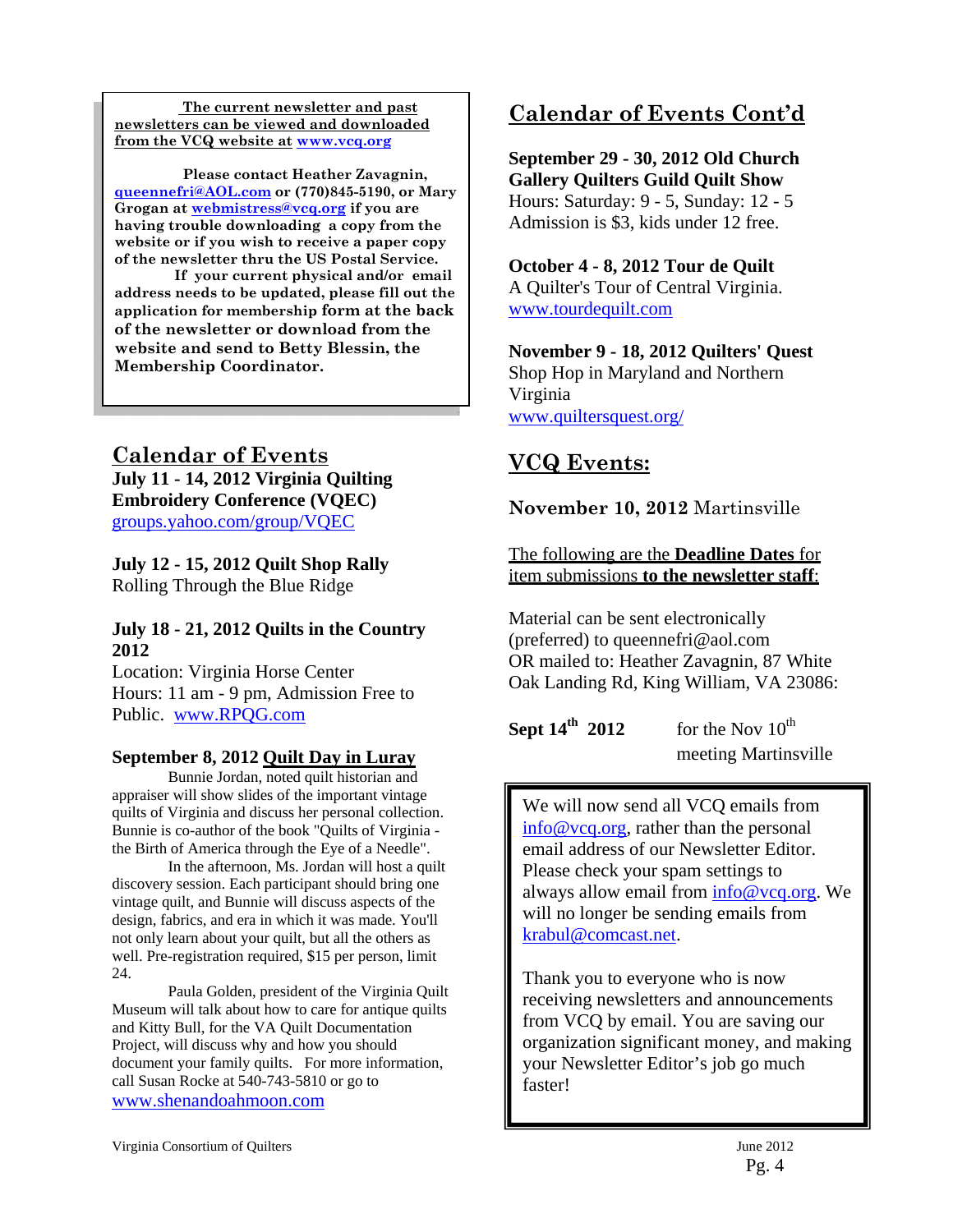**The current newsletter and past newsletters can be viewed and downloaded from the VCQ website at www.vcq.org**

 **Please contact Heather Zavagnin, queennefri@AOL.com or (770)845-5190, or Mary Grogan at webmistress@vcq.org if you are having trouble downloading a copy from the website or if you wish to receive a paper copy of the newsletter thru the US Postal Service.** 

 **If your current physical and/or email address needs to be updated, please fill out the application for membership form at the back of the newsletter or download from the website and send to Betty Blessin, the Membership Coordinator.** 

#### **Calendar of Events July 11 - 14, 2012 Virginia Quilting Embroidery Conference (VQEC)**  groups.yahoo.com/group/VQEC

**July 12 - 15, 2012 Quilt Shop Rally** Rolling Through the Blue Ridge

#### **July 18 - 21, 2012 Quilts in the Country 2012**

Location: Virginia Horse Center Hours: 11 am - 9 pm, Admission Free to Public. www.RPQG.com

#### **September 8, 2012 Quilt Day in Luray**

 Bunnie Jordan, noted quilt historian and appraiser will show slides of the important vintage quilts of Virginia and discuss her personal collection. Bunnie is co-author of the book "Quilts of Virginia the Birth of America through the Eye of a Needle".

 In the afternoon, Ms. Jordan will host a quilt discovery session. Each participant should bring one vintage quilt, and Bunnie will discuss aspects of the design, fabrics, and era in which it was made. You'll not only learn about your quilt, but all the others as well. Pre-registration required, \$15 per person, limit 24.

 Paula Golden, president of the Virginia Quilt Museum will talk about how to care for antique quilts and Kitty Bull, for the VA Quilt Documentation Project, will discuss why and how you should document your family quilts. For more information, call Susan Rocke at 540-743-5810 or go to www.shenandoahmoon.com

## **Calendar of Events Cont'd**

**September 29 - 30, 2012 Old Church Gallery Quilters Guild Quilt Show** Hours: Saturday: 9 - 5, Sunday: 12 - 5 Admission is \$3, kids under 12 free.

#### **October 4 - 8, 2012 Tour de Quilt**

A Quilter's Tour of Central Virginia. www.tourdequilt.com

**November 9 - 18, 2012 Quilters' Quest** Shop Hop in Maryland and Northern Virginia www.quiltersquest.org/

### **VCQ Events:**

**November 10, 2012** Martinsville

The following are the **Deadline Dates** for item submissions **to the newsletter staff**:

Material can be sent electronically (preferred) to queennefri@aol.com OR mailed to: Heather Zavagnin, 87 White Oak Landing Rd, King William, VA 23086:

**Sept 14<sup>th</sup> 2012** for the Nov  $10^{th}$ meeting Martinsville

We will now send all VCQ emails from info@vcq.org, rather than the personal email address of our Newsletter Editor. Please check your spam settings to always allow email from info@vcq.org. We will no longer be sending emails from krabul@comcast.net.

Thank you to everyone who is now receiving newsletters and announcements from VCQ by email. You are saving our organization significant money, and making your Newsletter Editor's job go much faster!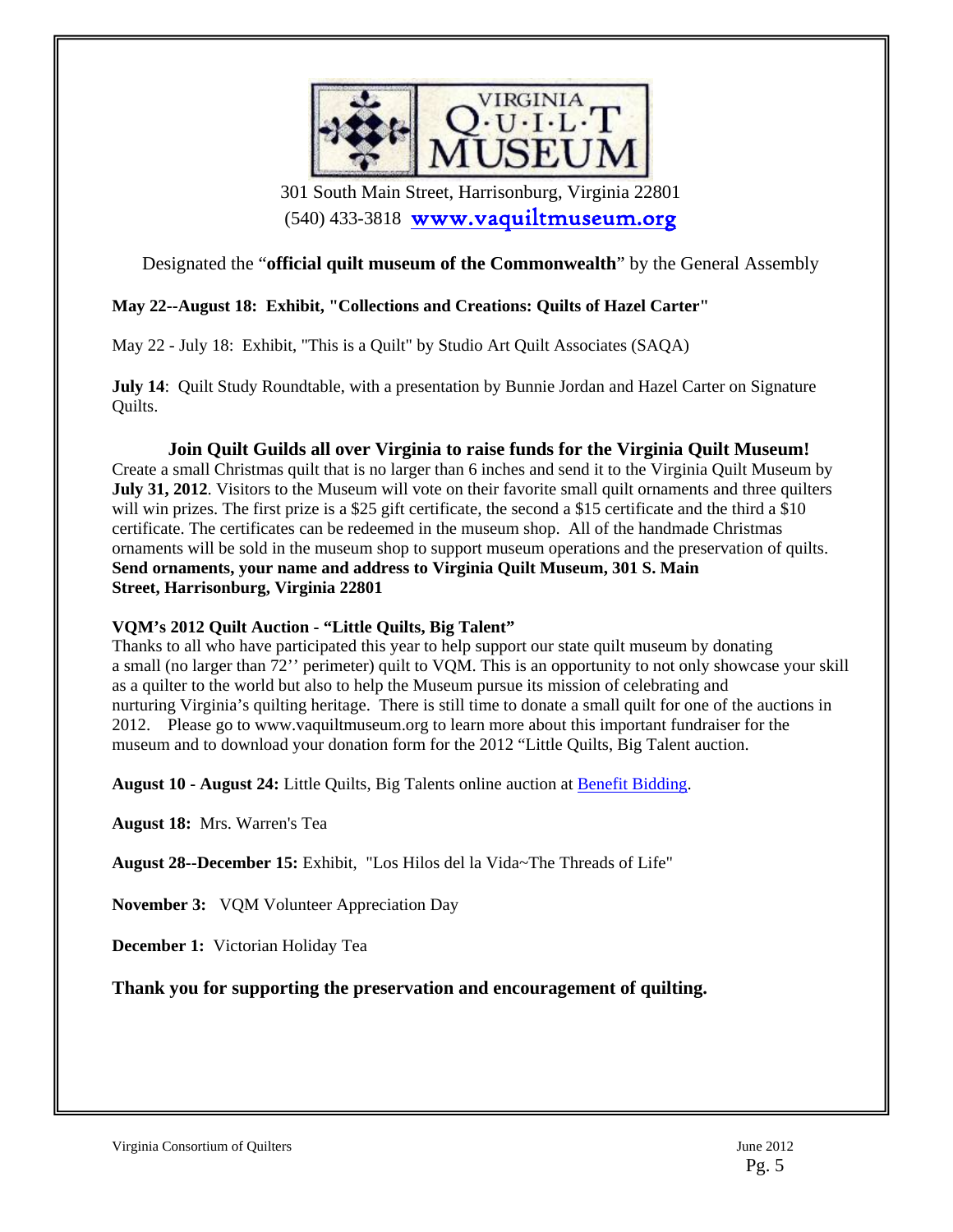

 301 South Main Street, Harrisonburg, Virginia 22801 (540) 433-3818 www.vaquiltmuseum.org

#### Designated the "**official quilt museum of the Commonwealth**" by the General Assembly

#### **May 22--August 18: Exhibit, "Collections and Creations: Quilts of Hazel Carter"**

May 22 - July 18: Exhibit, "This is a Quilt" by Studio Art Quilt Associates (SAQA)

**July 14:** Ouilt Study Roundtable, with a presentation by Bunnie Jordan and Hazel Carter on Signature Quilts.

#### **Join Quilt Guilds all over Virginia to raise funds for the Virginia Quilt Museum!**

Create a small Christmas quilt that is no larger than 6 inches and send it to the Virginia Quilt Museum by **July 31, 2012**. Visitors to the Museum will vote on their favorite small quilt ornaments and three quilters will win prizes. The first prize is a \$25 gift certificate, the second a \$15 certificate and the third a \$10 certificate. The certificates can be redeemed in the museum shop. All of the handmade Christmas ornaments will be sold in the museum shop to support museum operations and the preservation of quilts. **Send ornaments, your name and address to Virginia Quilt Museum, 301 S. Main Street, Harrisonburg, Virginia 22801**

#### **VQM's 2012 Quilt Auction - "Little Quilts, Big Talent"**

Thanks to all who have participated this year to help support our state quilt museum by donating a small (no larger than 72'' perimeter) quilt to VQM. This is an opportunity to not only showcase your skill as a quilter to the world but also to help the Museum pursue its mission of celebrating and nurturing Virginia's quilting heritage. There is still time to donate a small quilt for one of the auctions in 2012. Please go to www.vaquiltmuseum.org to learn more about this important fundraiser for the museum and to download your donation form for the 2012 "Little Quilts, Big Talent auction.

**August 10 - August 24:** Little Quilts, Big Talents online auction at Benefit Bidding.

**August 18:** Mrs. Warren's Tea

**August 28--December 15:** Exhibit, "Los Hilos del la Vida~The Threads of Life"

**November 3:** VQM Volunteer Appreciation Day

**December 1:** Victorian Holiday Tea

**Thank you for supporting the preservation and encouragement of quilting.**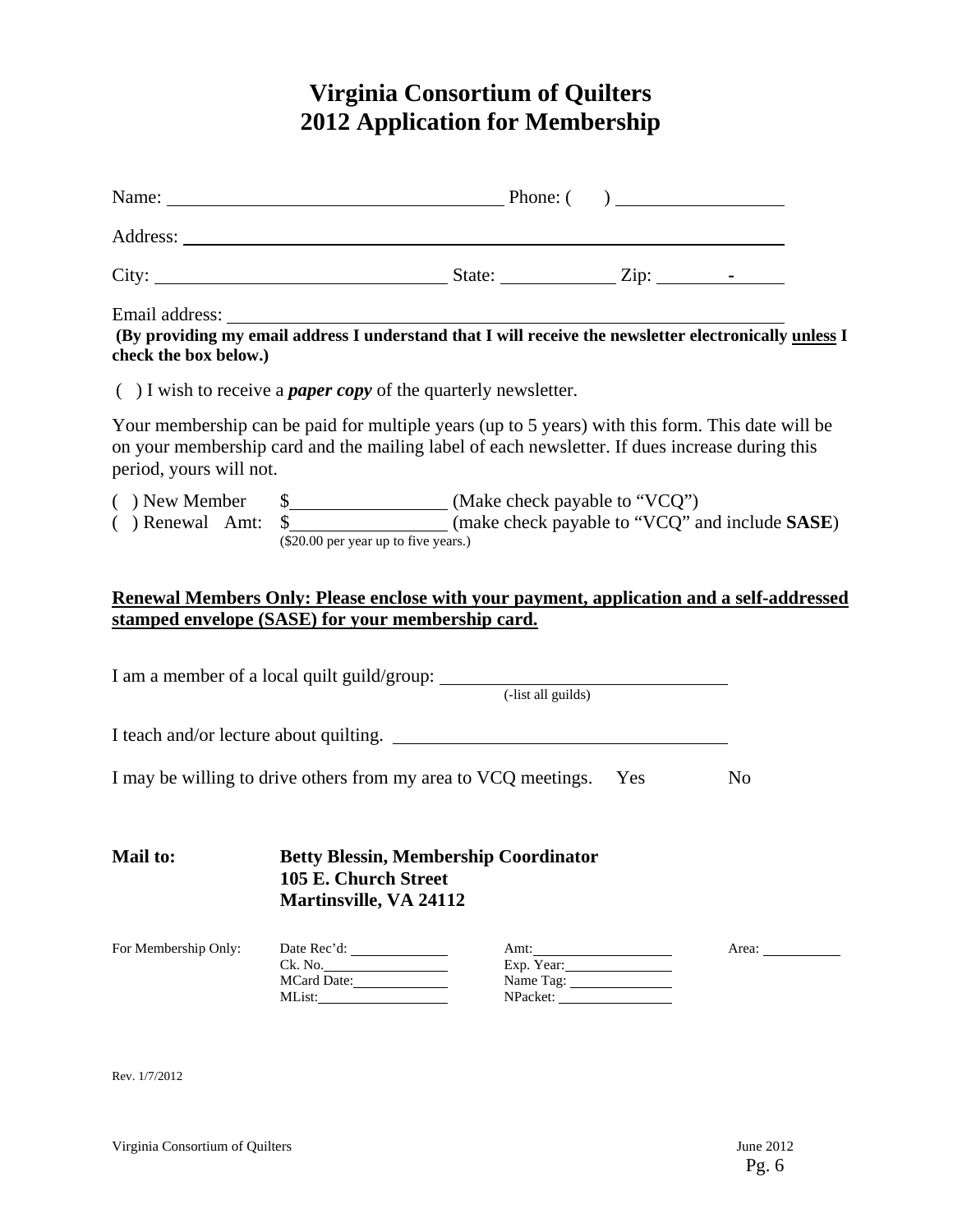# **Virginia Consortium of Quilters 2012 Application for Membership**

| Email address: The email address I understand that I will receive the newsletter electronically unless I<br>check the box below.) |                                                                                                                                                                                                    |                                                                                                                                |                |
|-----------------------------------------------------------------------------------------------------------------------------------|----------------------------------------------------------------------------------------------------------------------------------------------------------------------------------------------------|--------------------------------------------------------------------------------------------------------------------------------|----------------|
|                                                                                                                                   | $( )$ I wish to receive a <i>paper copy</i> of the quarterly newsletter.                                                                                                                           |                                                                                                                                |                |
| period, yours will not.                                                                                                           | Your membership can be paid for multiple years (up to 5 years) with this form. This date will be<br>on your membership card and the mailing label of each newsletter. If dues increase during this |                                                                                                                                |                |
|                                                                                                                                   | () Renewal Amt: \$_________________ (make check payable to "VCQ" and include SASE)<br>(\$20.00 per year up to five years.)                                                                         |                                                                                                                                |                |
|                                                                                                                                   | Renewal Members Only: Please enclose with your payment, application and a self-addressed                                                                                                           |                                                                                                                                |                |
|                                                                                                                                   | stamped envelope (SASE) for your membership card.                                                                                                                                                  |                                                                                                                                |                |
|                                                                                                                                   |                                                                                                                                                                                                    |                                                                                                                                |                |
|                                                                                                                                   |                                                                                                                                                                                                    |                                                                                                                                |                |
| I may be willing to drive others from my area to VCQ meetings. Yes                                                                |                                                                                                                                                                                                    |                                                                                                                                | N <sub>0</sub> |
| Mail to:                                                                                                                          | <b>Betty Blessin, Membership Coordinator</b><br>105 E. Church Street<br><b>Martinsville, VA 24112</b>                                                                                              |                                                                                                                                |                |
| For Membership Only:                                                                                                              | Ck. No.<br>MCard Date:                                                                                                                                                                             | Amt:<br>Exp. Year:<br>Name Tag:<br>$NPacket: \begin{tabular}{ c c } \hline \multicolumn{3}{ c }{\textbf{NP}new} \end{tabular}$ | Area:          |

Rev. 1/7/2012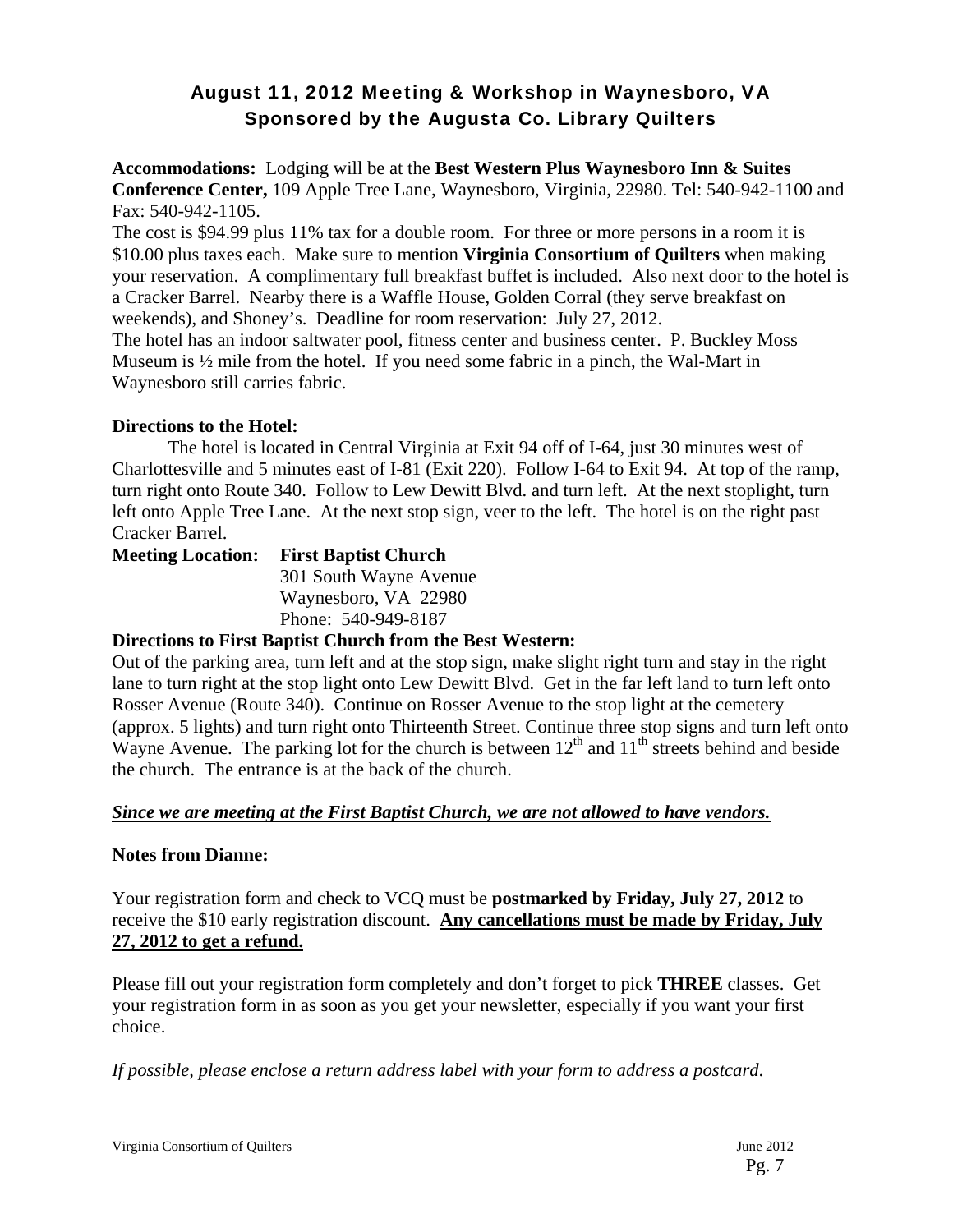### August 11, 2012 Meeting & Workshop in Waynesboro, VA Sponsored by the Augusta Co. Library Quilters

**Accommodations:** Lodging will be at the **Best Western Plus Waynesboro Inn & Suites Conference Center,** 109 Apple Tree Lane, Waynesboro, Virginia, 22980. Tel: 540-942-1100 and Fax: 540-942-1105.

The cost is \$94.99 plus 11% tax for a double room. For three or more persons in a room it is \$10.00 plus taxes each. Make sure to mention **Virginia Consortium of Quilters** when making your reservation. A complimentary full breakfast buffet is included. Also next door to the hotel is a Cracker Barrel. Nearby there is a Waffle House, Golden Corral (they serve breakfast on weekends), and Shoney's. Deadline for room reservation: July 27, 2012.

The hotel has an indoor saltwater pool, fitness center and business center. P. Buckley Moss Museum is ½ mile from the hotel. If you need some fabric in a pinch, the Wal-Mart in Waynesboro still carries fabric.

#### **Directions to the Hotel:**

The hotel is located in Central Virginia at Exit 94 off of I-64, just 30 minutes west of Charlottesville and 5 minutes east of I-81 (Exit 220). Follow I-64 to Exit 94. At top of the ramp, turn right onto Route 340. Follow to Lew Dewitt Blvd. and turn left. At the next stoplight, turn left onto Apple Tree Lane. At the next stop sign, veer to the left. The hotel is on the right past Cracker Barrel.

| <b>Meeting Location:</b> First Baptist Church |  |
|-----------------------------------------------|--|
| 301 South Wayne Avenue                        |  |
| Waynesboro, VA 22980                          |  |
| Phone: 540-949-8187                           |  |

#### **Directions to First Baptist Church from the Best Western:**

Out of the parking area, turn left and at the stop sign, make slight right turn and stay in the right lane to turn right at the stop light onto Lew Dewitt Blvd. Get in the far left land to turn left onto Rosser Avenue (Route 340). Continue on Rosser Avenue to the stop light at the cemetery (approx. 5 lights) and turn right onto Thirteenth Street. Continue three stop signs and turn left onto Wayne Avenue. The parking lot for the church is between  $12<sup>th</sup>$  and  $11<sup>th</sup>$  streets behind and beside the church. The entrance is at the back of the church.

#### *Since we are meeting at the First Baptist Church, we are not allowed to have vendors.*

#### **Notes from Dianne:**

Your registration form and check to VCQ must be **postmarked by Friday, July 27, 2012** to receive the \$10 early registration discount. **Any cancellations must be made by Friday, July 27, 2012 to get a refund.**

Please fill out your registration form completely and don't forget to pick **THREE** classes. Get your registration form in as soon as you get your newsletter, especially if you want your first choice.

*If possible, please enclose a return address label with your form to address a postcard*.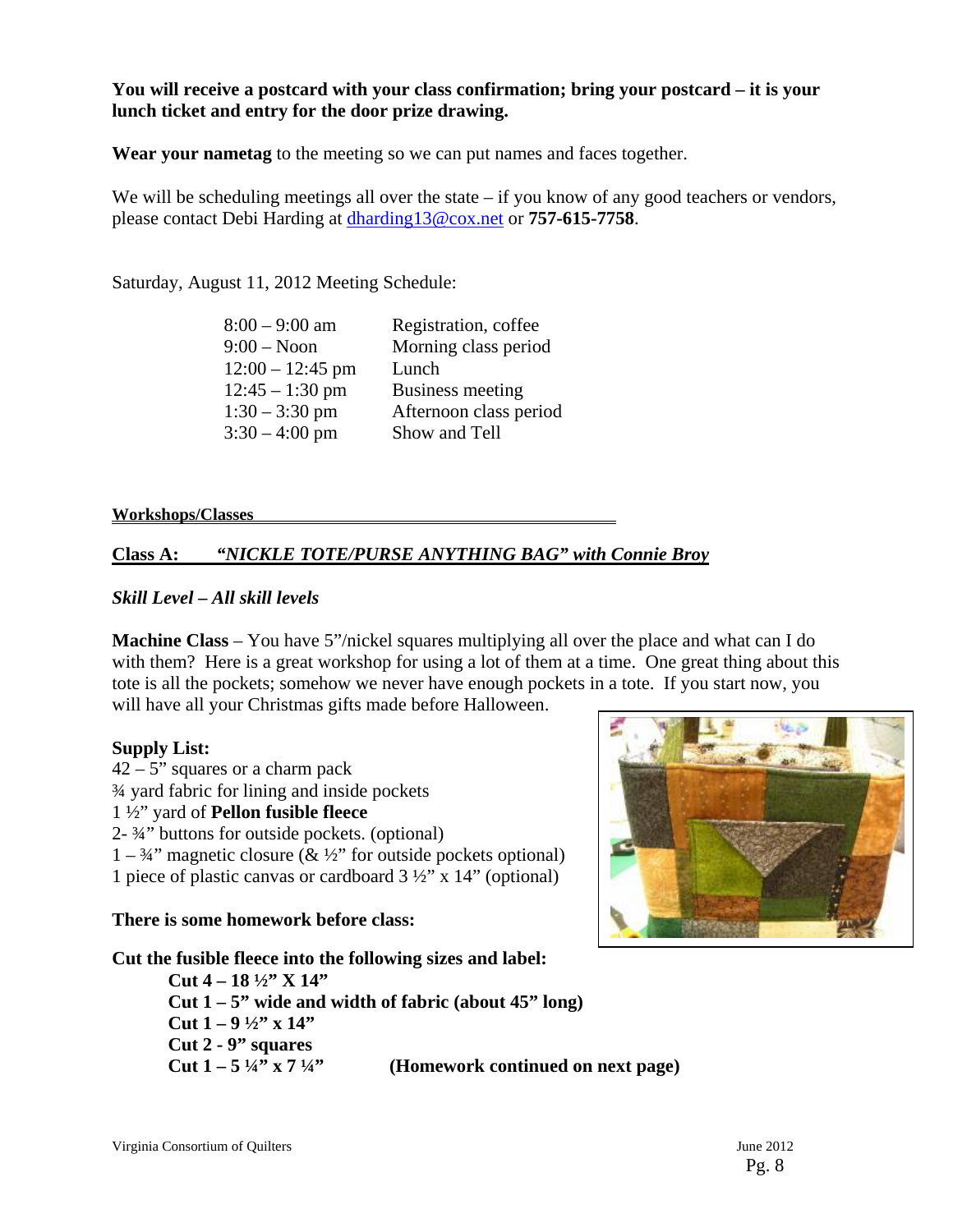#### **You will receive a postcard with your class confirmation; bring your postcard – it is your lunch ticket and entry for the door prize drawing.**

**Wear your nametag** to the meeting so we can put names and faces together.

We will be scheduling meetings all over the state – if you know of any good teachers or vendors, please contact Debi Harding at dharding13@cox.net or **757-615-7758**.

Saturday, August 11, 2012 Meeting Schedule:

| $8:00 - 9:00$ am   | Registration, coffee   |
|--------------------|------------------------|
| $9:00 - N$ oon     | Morning class period   |
| $12:00 - 12:45$ pm | Lunch                  |
| $12:45 - 1:30$ pm  | Business meeting       |
| $1:30 - 3:30$ pm   | Afternoon class period |
| $3:30 - 4:00$ pm   | Show and Tell          |
|                    |                        |

**Workshops/Classes** 

#### **Class A:** *"NICKLE TOTE/PURSE ANYTHING BAG" with Connie Broy*

#### *Skill Level – All skill levels*

**Machine Class** – You have 5"/nickel squares multiplying all over the place and what can I do with them? Here is a great workshop for using a lot of them at a time. One great thing about this tote is all the pockets; somehow we never have enough pockets in a tote. If you start now, you will have all your Christmas gifts made before Halloween.

#### **Supply List:**

 $42 - 5$ " squares or a charm pack ¾ yard fabric for lining and inside pockets 1 ½" yard of **Pellon fusible fleece**  2- ¾" buttons for outside pockets. (optional)  $1 - \frac{3}{4}$ " magnetic closure (& ½" for outside pockets optional) 1 piece of plastic canvas or cardboard  $3\frac{1}{2}$ " x 14" (optional)

#### **There is some homework before class:**

#### **Cut the fusible fleece into the following sizes and label:**

 **Cut 4 – 18 ½" X 14" Cut 1 – 5" wide and width of fabric (about 45" long) Cut 1 – 9 ½" x 14" Cut 2 - 9" squares Cut**  $1 - 5 \frac{1}{4}$  **x**  $7 \frac{1}{4}$  (Homework continued on next page)

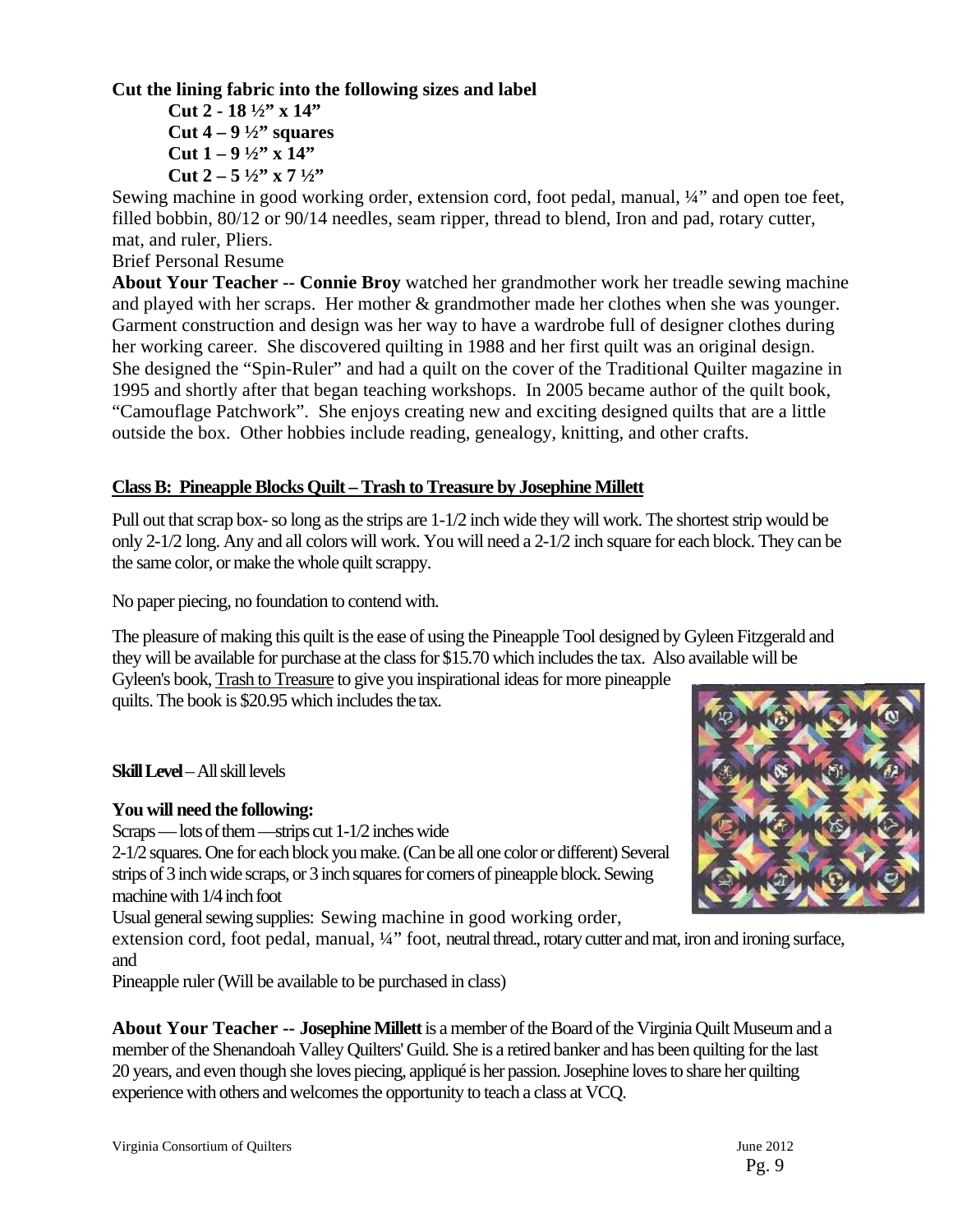#### **Cut the lining fabric into the following sizes and label**

 **Cut 2 - 18 ½" x 14" Cut 4 – 9 ½" squares Cut 1 – 9 ½" x 14" Cut 2 – 5 ½" x 7 ½"** 

Sewing machine in good working order, extension cord, foot pedal, manual, ¼" and open toe feet, filled bobbin, 80/12 or 90/14 needles, seam ripper, thread to blend, Iron and pad, rotary cutter, mat, and ruler, Pliers.

Brief Personal Resume

**About Your Teacher -- Connie Broy** watched her grandmother work her treadle sewing machine and played with her scraps. Her mother & grandmother made her clothes when she was younger. Garment construction and design was her way to have a wardrobe full of designer clothes during her working career. She discovered quilting in 1988 and her first quilt was an original design. She designed the "Spin-Ruler" and had a quilt on the cover of the Traditional Quilter magazine in 1995 and shortly after that began teaching workshops. In 2005 became author of the quilt book, "Camouflage Patchwork". She enjoys creating new and exciting designed quilts that are a little outside the box. Other hobbies include reading, genealogy, knitting, and other crafts.

#### **Class B: Pineapple Blocks Quilt – Trash to Treasure by Josephine Millett**

Pull out that scrap box- so long as the strips are 1-1/2 inch wide they will work. The shortest strip would be only 2-1/2 long. Any and all colors will work. You will need a 2-1/2 inch square for each block. They can be the same color, or make the whole quilt scrappy.

No paper piecing, no foundation to contend with.

The pleasure of making this quilt is the ease of using the Pineapple Tool designed by Gyleen Fitzgerald and they will be available for purchase at the class for \$15.70 which includes the tax. Also available will be

Gyleen's book, Trash to Treasure to give you inspirational ideas for more pineapple quilts. The book is \$20.95 which includes the tax.

**Skill Level** – All skill levels

#### **You will need the following:**

Scraps — lots of them —strips cut 1-1/2 inches wide

2-1/2 squares. One for each block you make. (Can be all one color or different) Several strips of 3 inch wide scraps, or 3 inch squares for corners of pineapple block. Sewing machine with 1/4 inch foot

Usual general sewing supplies: Sewing machine in good working order,

extension cord, foot pedal, manual, 1/4" foot, neutral thread., rotary cutter and mat, iron and ironing surface, and

Pineapple ruler (Will be available to be purchased in class)

**About Your Teacher -- Josephine Millett** is a member of the Board of the Virginia Quilt Museum and a member of the Shenandoah Valley Quilters' Guild. She is a retired banker and has been quilting for the last 20 years, and even though she loves piecing, appliqué is her passion. Josephine loves to share her quilting experience with others and welcomes the opportunity to teach a class at VCQ.

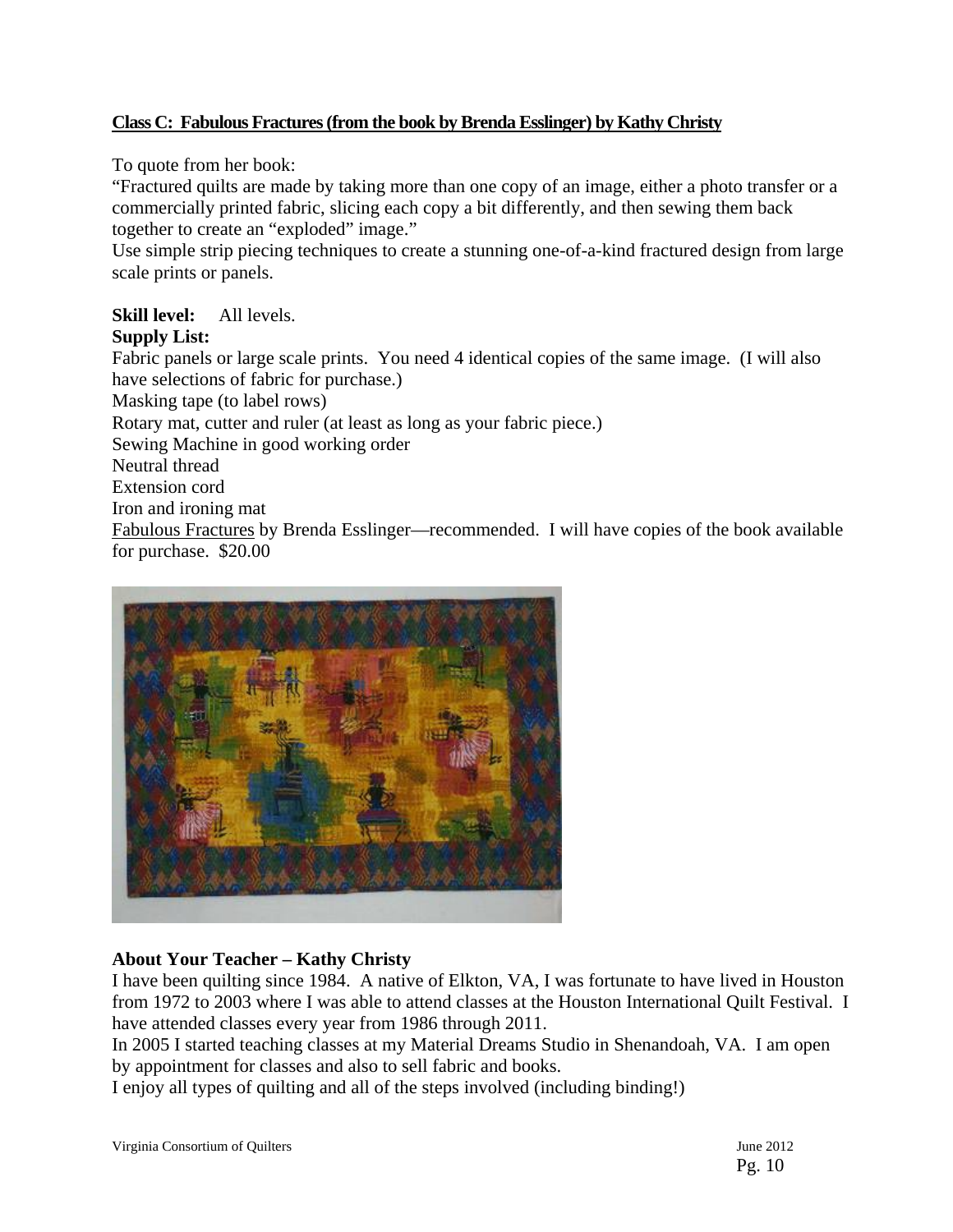#### **Class C: Fabulous Fractures (from the book by Brenda Esslinger) by Kathy Christy**

To quote from her book:

"Fractured quilts are made by taking more than one copy of an image, either a photo transfer or a commercially printed fabric, slicing each copy a bit differently, and then sewing them back together to create an "exploded" image."

Use simple strip piecing techniques to create a stunning one-of-a-kind fractured design from large scale prints or panels.

#### **Skill level:** All levels.

#### **Supply List:**

Fabric panels or large scale prints. You need 4 identical copies of the same image. (I will also have selections of fabric for purchase.) Masking tape (to label rows) Rotary mat, cutter and ruler (at least as long as your fabric piece.) Sewing Machine in good working order Neutral thread Extension cord Iron and ironing mat Fabulous Fractures by Brenda Esslinger—recommended. I will have copies of the book available for purchase. \$20.00



#### **About Your Teacher – Kathy Christy**

I have been quilting since 1984. A native of Elkton, VA, I was fortunate to have lived in Houston from 1972 to 2003 where I was able to attend classes at the Houston International Quilt Festival. I have attended classes every year from 1986 through 2011.

In 2005 I started teaching classes at my Material Dreams Studio in Shenandoah, VA. I am open by appointment for classes and also to sell fabric and books.

I enjoy all types of quilting and all of the steps involved (including binding!)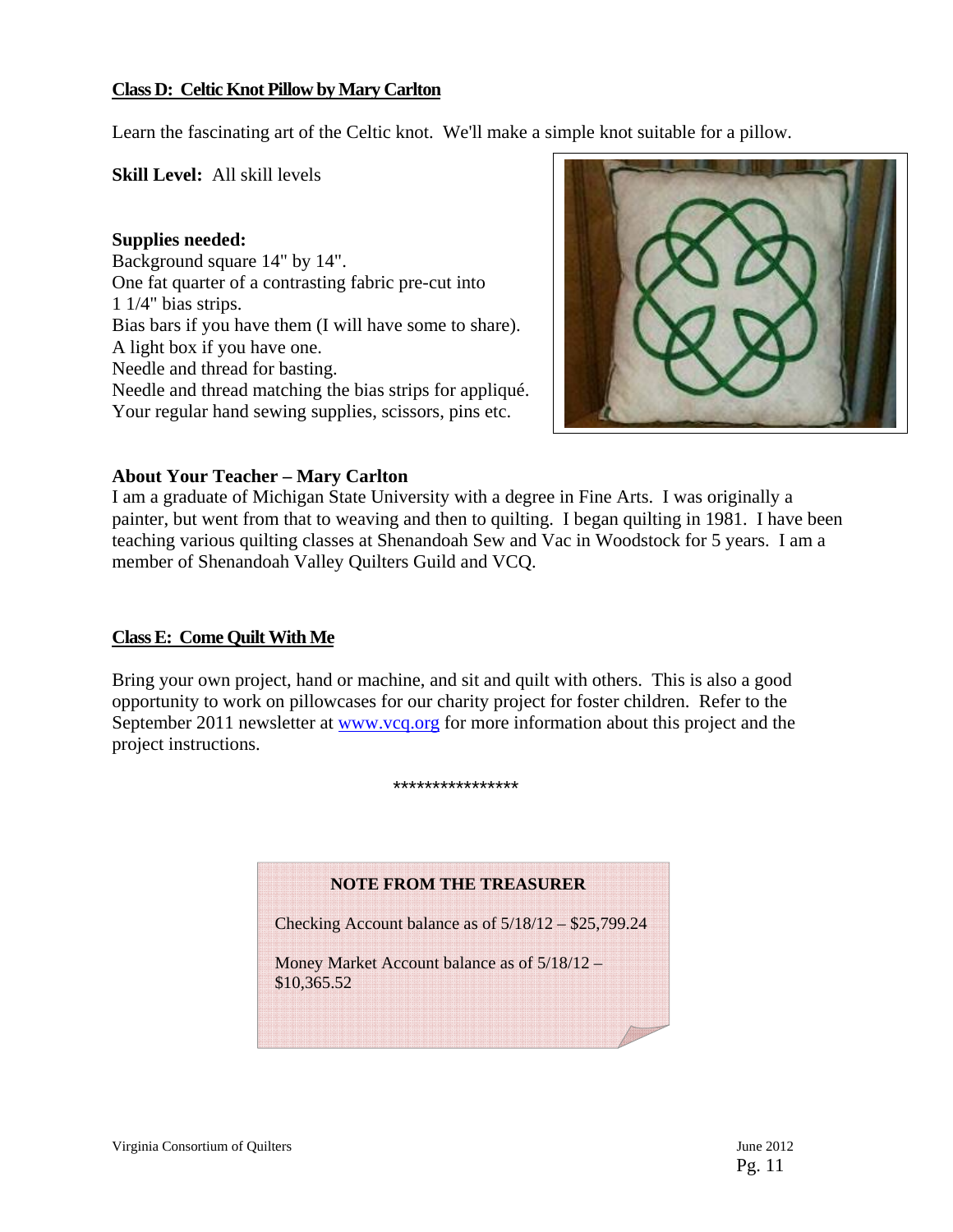#### **Class D: Celtic Knot Pillow by Mary Carlton**

Learn the fascinating art of the Celtic knot. We'll make a simple knot suitable for a pillow.

**Skill Level:** All skill levels

**Supplies needed:** Background square 14" by 14". One fat quarter of a contrasting fabric pre-cut into 1 1/4" bias strips. Bias bars if you have them (I will have some to share). A light box if you have one. Needle and thread for basting. Needle and thread matching the bias strips for appliqué. Your regular hand sewing supplies, scissors, pins etc.



#### **About Your Teacher – Mary Carlton**

I am a graduate of Michigan State University with a degree in Fine Arts. I was originally a painter, but went from that to weaving and then to quilting. I began quilting in 1981. I have been teaching various quilting classes at Shenandoah Sew and Vac in Woodstock for 5 years. I am a member of Shenandoah Valley Quilters Guild and VCQ.

#### **Class E: Come Quilt With Me**

Bring your own project, hand or machine, and sit and quilt with others. This is also a good opportunity to work on pillowcases for our charity project for foster children. Refer to the September 2011 newsletter at www.vcq.org for more information about this project and the project instructions.

#### \*\*\*\*\*\*\*\*\*\*\*\*\*\*\*\*

#### **NOTE FROM THE TREASURER**

Checking Account balance as of 5/18/12 – \$25,799.24

Money Market Account balance as of 5/18/12 – \$10,365.52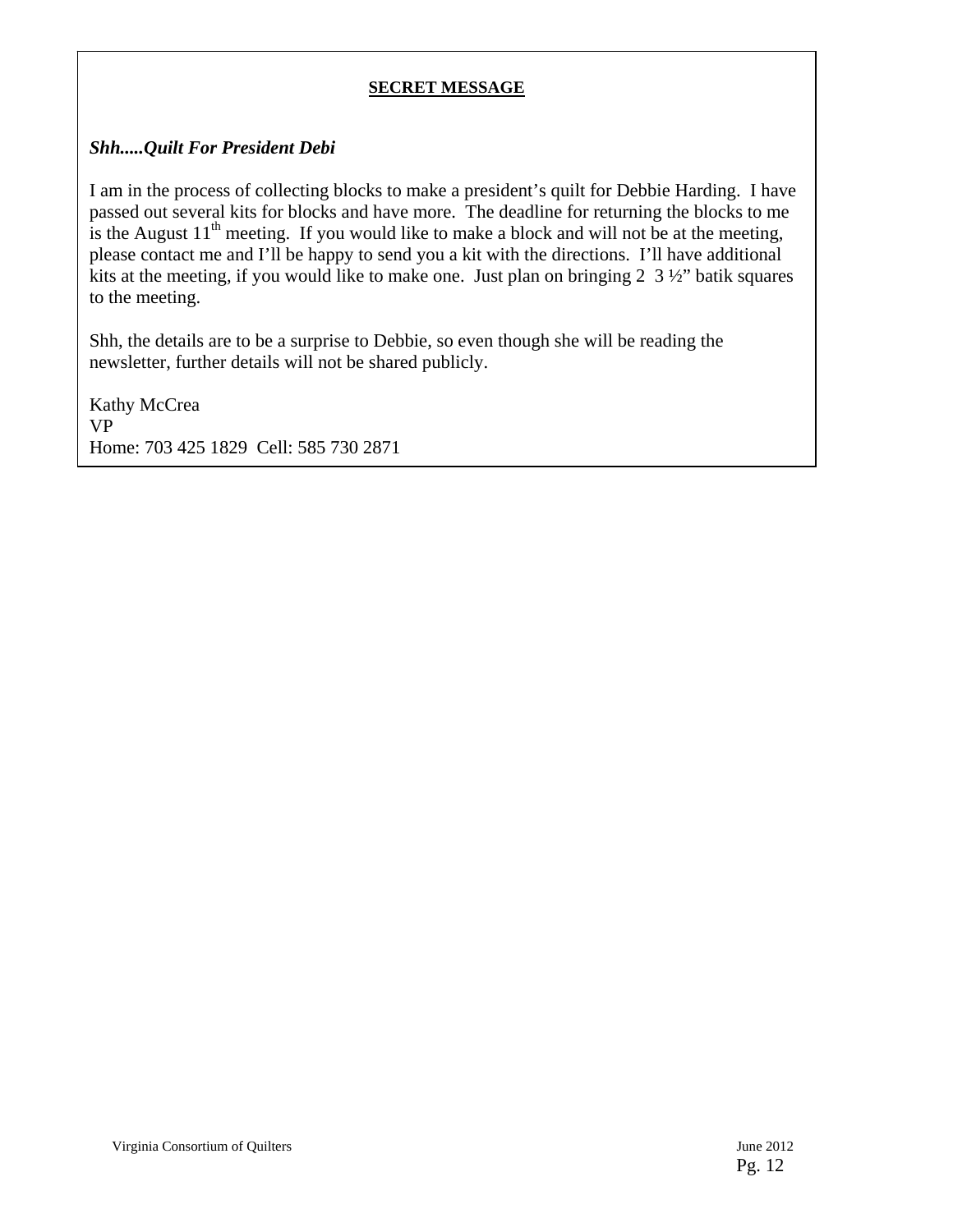#### **SECRET MESSAGE**

#### *Shh.....Quilt For President Debi*

I am in the process of collecting blocks to make a president's quilt for Debbie Harding. I have passed out several kits for blocks and have more. The deadline for returning the blocks to me is the August  $11<sup>th</sup>$  meeting. If you would like to make a block and will not be at the meeting, please contact me and I'll be happy to send you a kit with the directions. I'll have additional kits at the meeting, if you would like to make one. Just plan on bringing 2 3 ½" batik squares to the meeting.

Shh, the details are to be a surprise to Debbie, so even though she will be reading the newsletter, further details will not be shared publicly.

Kathy McCrea VP Home: 703 425 1829 Cell: 585 730 2871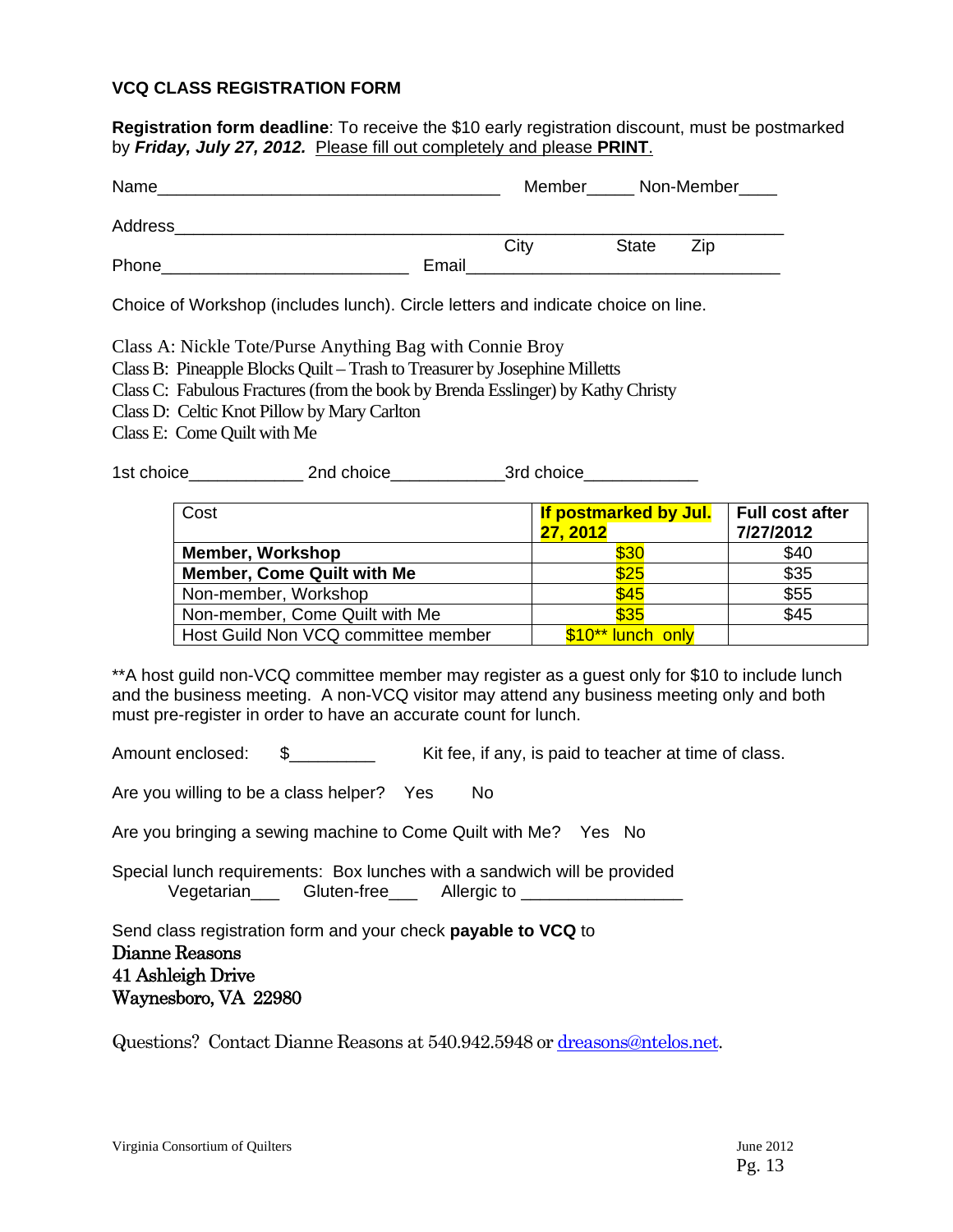#### **VCQ CLASS REGISTRATION FORM**

**Registration form deadline**: To receive the \$10 early registration discount, must be postmarked by *Friday, July 27, 2012.* Please fill out completely and please **PRINT**.

| Name    |       | Member |              | Non-Member |
|---------|-------|--------|--------------|------------|
| Address |       |        |              |            |
|         |       | City   | <b>State</b> | Zip        |
| Phone   | Email |        |              |            |

Choice of Workshop (includes lunch). Circle letters and indicate choice on line.

Class A: Nickle Tote/Purse Anything Bag with Connie Broy

- Class B: Pineapple Blocks Quilt Trash to Treasurer by Josephine Milletts
- Class C: Fabulous Fractures (from the book by Brenda Esslinger) by Kathy Christy
- Class D: Celtic Knot Pillow by Mary Carlton
- Class E: Come Quilt with Me

1st choice and choice and choice and choice and choice and choice and  $\overline{3}$ rd choice

| Cost                                | If postmarked by Jul.<br>27, 2012 | <b>Full cost after</b><br>7/27/2012 |
|-------------------------------------|-----------------------------------|-------------------------------------|
| <b>Member, Workshop</b>             | \$30                              | \$40                                |
| <b>Member, Come Quilt with Me</b>   | \$25                              | \$35                                |
| Non-member, Workshop                | \$45                              | \$55                                |
| Non-member, Come Quilt with Me      | \$35                              | \$45                                |
| Host Guild Non VCQ committee member | \$10** lunch only                 |                                     |

\*\*A host guild non-VCQ committee member may register as a guest only for \$10 to include lunch and the business meeting. A non-VCQ visitor may attend any business meeting only and both must pre-register in order to have an accurate count for lunch.

Amount enclosed:  $\$\$$  Kit fee, if any, is paid to teacher at time of class.

Are you willing to be a class helper? Yes No

Are you bringing a sewing machine to Come Quilt with Me? Yes No

Special lunch requirements: Box lunches with a sandwich will be provided Vegetarian Gluten-free Allergic to Zegetarian

Send class registration form and your check **payable to VCQ** to Dianne Reasons 41 Ashleigh Drive Waynesboro, VA 22980

Questions? Contact Dianne Reasons at 540.942.5948 or dreasons@ntelos.net.